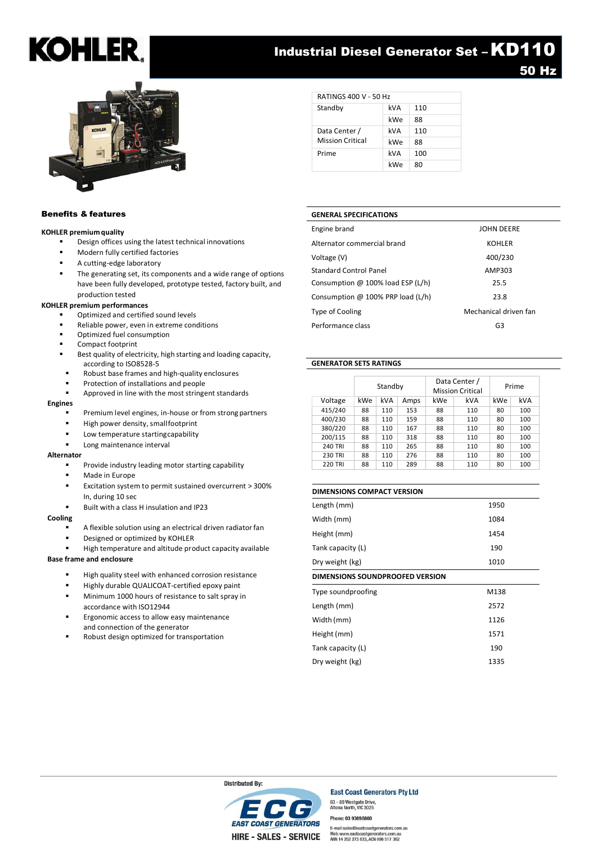### KOHLE

### **Industrial Diesel Generator Set - KD110** 50 Hz



RATINGS 400 V - 50 Hz Standby kVA 110 kWe 88 Data Center / Mission Critical kVA 110 kWe 88 Prime kVA 100 kWe 80

### Benefits & features

### **KOHLER premium quality**

- Design offices using the latest technical innovations
- Modern fully certified factories
- A cutting-edge laboratory
- The generating set, its components and a wide range of options have been fully developed, prototype tested, factory built, and production tested

### **KOHLER premium performances**

- Optimized and certified sound levels
- Reliable power, even in extreme conditions
- Optimized fuel consumption
- Compact footprint
- Best quality of electricity, high starting and loading capacity, according to ISO8528-5
- Robust base frames and high-quality enclosures
- Protection of installations and people
- Approved in line with the most stringent standards

### **Engines**

- Premium level engines, in-house or from strong partners
- High power density, smallfootprint
- Low temperature startingcapability
- Long maintenance interval

#### **Alternator**

- Provide industry leading motor starting capability
- Made in Europe
- Excitation system to permit sustained overcurrent > 300% In, during 10 sec
- Built with a class H insulation and IP23

#### **Cooling**

- A flexible solution using an electrical driven radiator fan
- Designed or optimized by KOHLER
- High temperature and altitude product capacity available

### **Base frame and enclosure**

- High quality steel with enhanced corrosion resistance
- Highly durable QUALICOAT-certified epoxy paint
- Minimum 1000 hours of resistance to salt spray in accordance with ISO12944
- Ergonomic access to allow easy maintenance and connection of the generator
- Robust design optimized for transportation

**GENERAL SPECIFICATIONS**

| Alternator commercial brand       | <b>KOHLER</b>         |
|-----------------------------------|-----------------------|
| Voltage (V)                       | 400/230               |
| Standard Control Panel            | AMP303                |
| Consumption @ 100% load ESP (L/h) | 25.5                  |
| Consumption @ 100% PRP load (L/h) | 23.8                  |
| <b>Type of Cooling</b>            | Mechanical driven fan |
| Performance class                 | G3                    |

Engine brand JOHN DEERE

### **GENERATOR SETS RATINGS**

|                | Standby |     | Data Center /<br><b>Mission Critical</b> |     | Prime      |     |     |
|----------------|---------|-----|------------------------------------------|-----|------------|-----|-----|
| Voltage        | kWe     | kVA | Amps                                     | kWe | <b>kVA</b> | kWe | kVA |
| 415/240        | 88      | 110 | 153                                      | 88  | 110        | 80  | 100 |
| 400/230        | 88      | 110 | 159                                      | 88  | 110        | 80  | 100 |
| 380/220        | 88      | 110 | 167                                      | 88  | 110        | 80  | 100 |
| 200/115        | 88      | 110 | 318                                      | 88  | 110        | 80  | 100 |
| <b>240 TRI</b> | 88      | 110 | 265                                      | 88  | 110        | 80  | 100 |
| <b>230 TRI</b> | 88      | 110 | 276                                      | 88  | 110        | 80  | 100 |
| <b>220 TRI</b> | 88      | 110 | 289                                      | 88  | 110        | 80  | 100 |

| <b>DIMENSIONS COMPACT VERSION</b>      |      |  |  |
|----------------------------------------|------|--|--|
| Length (mm)                            | 1950 |  |  |
| Width (mm)                             | 1084 |  |  |
| Height (mm)                            | 1454 |  |  |
| Tank capacity (L)                      | 190  |  |  |
| Dry weight (kg)                        | 1010 |  |  |
| <b>DIMENSIONS SOUNDPROOFED VERSION</b> |      |  |  |
| Type soundproofing                     | M138 |  |  |
| Length (mm)                            | 2572 |  |  |
| Width (mm)                             | 1126 |  |  |
| Height (mm)                            | 1571 |  |  |
| Tank capacity (L)                      | 190  |  |  |
| Dry weight (kg)                        | 1335 |  |  |



### **East Coast Generators Pty Ltd** 83 - 89 Westgate Drive,<br>Altona North, VIC 3025

Phone: 03 9369 8800 E-mail:sales@eastcoastgenerators.com.au Web:www.eastcoastgenerators.com.au<br>ABN 14 202 273 633, ACN 006 517 362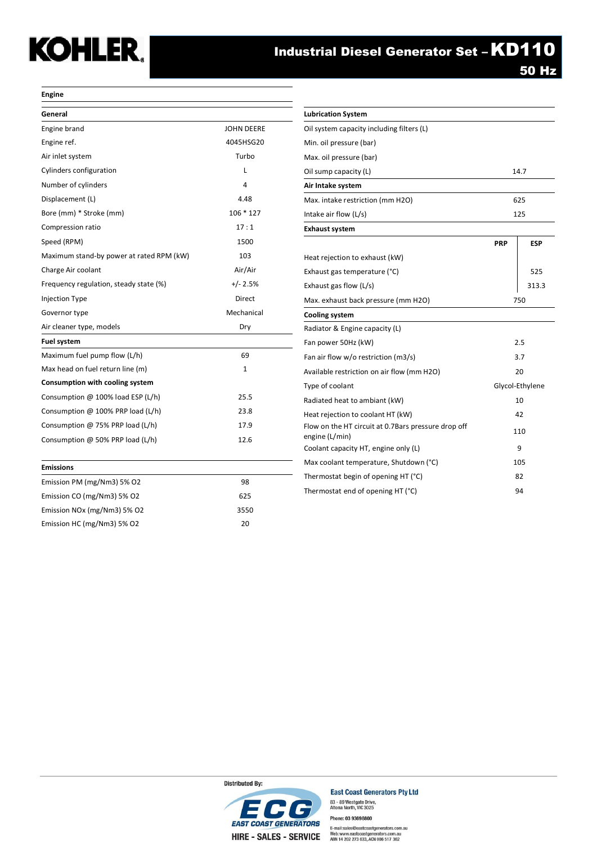# **KOHLER.**

50 Hz

### **Engine**

| General                                  |                   | <b>Lubrication System</b>                           |            |                |
|------------------------------------------|-------------------|-----------------------------------------------------|------------|----------------|
| Engine brand                             | <b>JOHN DEERE</b> | Oil system capacity including filters (L)           |            |                |
| Engine ref.                              | 4045HSG20         | Min. oil pressure (bar)                             |            |                |
| Air inlet system                         | Turbo             | Max. oil pressure (bar)                             |            |                |
| Cylinders configuration                  | L                 | Oil sump capacity (L)                               |            | 14.7           |
| Number of cylinders                      | 4                 | Air Intake system                                   |            |                |
| Displacement (L)                         | 4.48              | Max. intake restriction (mm H2O)                    |            | 625            |
| Bore (mm) * Stroke (mm)                  | 106 * 127         | Intake air flow (L/s)                               |            | 125            |
| Compression ratio                        | 17:1              | <b>Exhaust system</b>                               |            |                |
| Speed (RPM)                              | 1500              |                                                     | <b>PRP</b> | <b>ESP</b>     |
| Maximum stand-by power at rated RPM (kW) | 103               | Heat rejection to exhaust (kW)                      |            |                |
| Charge Air coolant                       | Air/Air           | Exhaust gas temperature (°C)                        |            | 525            |
| Frequency regulation, steady state (%)   | $+/- 2.5%$        | Exhaust gas flow (L/s)                              |            | 313.           |
| <b>Injection Type</b>                    | Direct            | Max. exhaust back pressure (mm H2O)                 |            | 750            |
| Governor type                            | Mechanical        | <b>Cooling system</b>                               |            |                |
| Air cleaner type, models                 | Dry               | Radiator & Engine capacity (L)                      |            |                |
| <b>Fuel system</b>                       |                   | Fan power 50Hz (kW)                                 |            | 2.5            |
| Maximum fuel pump flow (L/h)             | 69                | Fan air flow w/o restriction (m3/s)                 |            | 3.7            |
| Max head on fuel return line (m)         | 1                 | Available restriction on air flow (mm H2O)          |            | 20             |
| Consumption with cooling system          |                   | Type of coolant                                     |            | Glycol-Ethylen |
| Consumption @ 100% load ESP (L/h)        | 25.5              | Radiated heat to ambiant (kW)                       |            | 10             |
| Consumption @ 100% PRP load (L/h)        | 23.8              | Heat rejection to coolant HT (kW)                   |            | 42             |
| Consumption @ 75% PRP load (L/h)         | 17.9              | Flow on the HT circuit at 0.7Bars pressure drop off |            | 110            |
| Consumption @ 50% PRP load (L/h)         | 12.6              | engine (L/min)                                      |            |                |
|                                          |                   | Coolant capacity HT, engine only (L)                |            | 9              |
| <b>Emissions</b>                         |                   | Max coolant temperature, Shutdown (°C)              |            | 105            |
| Emission PM (mg/Nm3) 5% O2               | 98                | Thermostat begin of opening HT (°C)                 |            | 82             |
| Emission CO (mg/Nm3) 5% O2               | 625               | Thermostat end of opening HT (°C)                   |            | 94             |
| Emission NOx (mg/Nm3) 5% O2              | 3550              |                                                     |            |                |
| Emission HC (mg/Nm3) 5% O2               | 20                |                                                     |            |                |

| General                                  |                   | <b>Lubrication System</b>                           |            |                 |
|------------------------------------------|-------------------|-----------------------------------------------------|------------|-----------------|
| Engine brand                             | <b>JOHN DEERE</b> | Oil system capacity including filters (L)           |            |                 |
| Engine ref.                              | 4045HSG20         | Min. oil pressure (bar)                             |            |                 |
| Air inlet system                         | Turbo             | Max. oil pressure (bar)                             |            |                 |
| Cylinders configuration                  | ı                 | Oil sump capacity (L)                               |            | 14.7            |
| Number of cylinders                      | 4                 | Air Intake system                                   |            |                 |
| Displacement (L)                         | 4.48              | Max. intake restriction (mm H2O)                    |            | 625             |
| Bore (mm) * Stroke (mm)                  | $106 * 127$       | Intake air flow (L/s)                               | 125        |                 |
| Compression ratio                        | 17:1              | <b>Exhaust system</b>                               |            |                 |
| Speed (RPM)                              | 1500              |                                                     | <b>PRP</b> | <b>ESP</b>      |
| Maximum stand-by power at rated RPM (kW) | 103               | Heat rejection to exhaust (kW)                      |            |                 |
| Charge Air coolant                       | Air/Air           | Exhaust gas temperature (°C)                        |            | 525             |
| Frequency regulation, steady state (%)   | $+/- 2.5%$        | Exhaust gas flow (L/s)                              |            | 313.3           |
| Injection Type                           | Direct            | Max. exhaust back pressure (mm H2O)<br>750          |            |                 |
| Governor type                            | Mechanical        | <b>Cooling system</b>                               |            |                 |
| Air cleaner type, models                 | Dry               | Radiator & Engine capacity (L)                      |            |                 |
| Fuel system                              |                   | Fan power 50Hz (kW)                                 |            | 2.5             |
| Maximum fuel pump flow (L/h)             | 69                | Fan air flow w/o restriction (m3/s)                 |            | 3.7             |
| Max head on fuel return line (m)         | 1                 | Available restriction on air flow (mm H2O)          | 20         |                 |
| Consumption with cooling system          |                   | Type of coolant                                     |            | Glycol-Ethylene |
| Consumption @ 100% load ESP (L/h)        | 25.5              | Radiated heat to ambiant (kW)                       | 10         |                 |
| Consumption @ 100% PRP load (L/h)        | 23.8              | Heat rejection to coolant HT (kW)                   | 42         |                 |
| Consumption @ 75% PRP load (L/h)         | 17.9              | Flow on the HT circuit at 0.7Bars pressure drop off | 110        |                 |
| Consumption @ 50% PRP load (L/h)         | 12.6              | engine (L/min)                                      |            |                 |
|                                          |                   | Coolant capacity HT, engine only (L)                |            | 9               |
| <b>Emissions</b>                         |                   | Max coolant temperature, Shutdown (°C)              |            | 105             |
| Emission PM (mg/Nm3) 5% O2               | 98                | Thermostat begin of opening HT (°C)                 |            | 82              |
| Fmission CO (mg/Nm3) 5% 02               | 625               | Thermostat end of opening HT (°C)                   | 94         |                 |



**East Coast Generators Pty Ltd** 83 - 89 Westgate Drive,<br>Altona North, VIC 3025 Phone: 03 93698800 E-mail:sales@eastcoastgenerators.com.au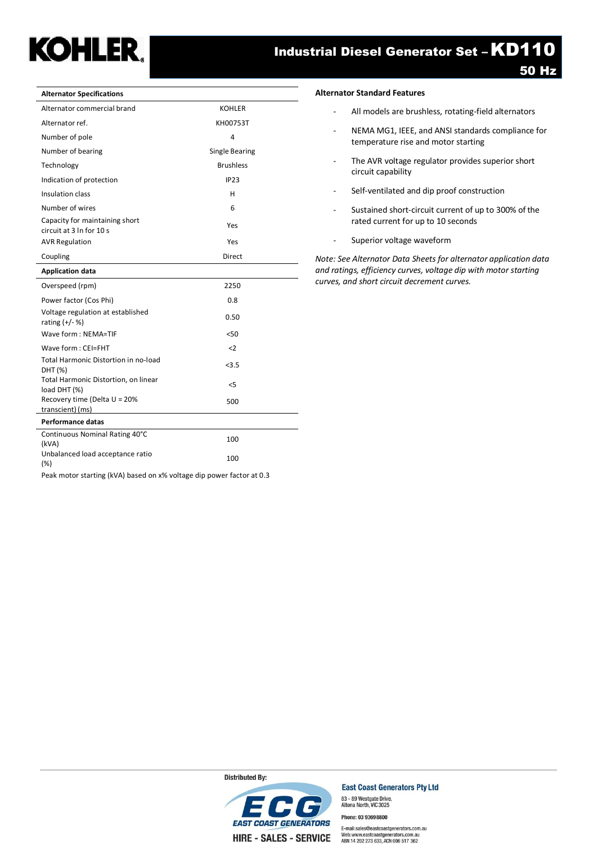## **KOHLER.**

### Industrial Diesel Generator Set – KD110

| <b>Alternator Specifications</b>                           |                       |
|------------------------------------------------------------|-----------------------|
| Alternator commercial brand                                | <b>KOHLER</b>         |
| Alternator ref.                                            | KH00753T              |
| Number of pole                                             | 4                     |
| Number of bearing                                          | <b>Single Bearing</b> |
| Technology                                                 | <b>Brushless</b>      |
| Indication of protection                                   | <b>IP23</b>           |
| Insulation class                                           | н                     |
| Number of wires                                            | 6                     |
| Capacity for maintaining short<br>circuit at 3 In for 10 s | Yes                   |
| <b>AVR Regulation</b>                                      | Yes                   |
| Coupling                                                   | Direct                |
| <b>Application data</b>                                    |                       |
| Overspeed (rpm)                                            | 2250                  |
| Power factor (Cos Phi)                                     | 0.8                   |
| Voltage regulation at established<br>rating $(+/- %)$      | 0.50                  |
| Wave form: NEMA=TIF                                        | < 50                  |
| Wave form: CEI=FHT                                         | $\langle$ 2           |
| <b>Total Harmonic Distortion in no-load</b><br>DHT (%)     | < 3.5                 |
| Total Harmonic Distortion, on linear<br>load DHT (%)       | $<$ 5                 |
| Recovery time (Delta U = 20%<br>transcient) (ms)           | 500                   |
| <b>Performance datas</b>                                   |                       |
| Continuous Nominal Rating 40°C<br>(kVA)                    | 100                   |
|                                                            |                       |

### Peak motor starting (kVA) based on x% voltage dip power factor at 0.3

### **Alternator Standard Features**

- All models are brushless, rotating-field alternators
- NEMA MG1, IEEE, and ANSI standards compliance for temperature rise and motor starting
- The AVR voltage regulator provides superior short circuit capability
- Self-ventilated and dip proof construction
- Sustained short-circuit current of up to 300% of the rated current for up to 10 seconds
- Superior voltage waveform

*Note: See Alternator Data Sheets for alternator application data and ratings, efficiency curves, voltage dip with motor starting curves, and short circuit decrement curves.*

**EAST COAST GENERATORS HIRE - SALES - SERVICE** 

**East Coast Generators Pty Ltd** 83 - 89 Westgate Drive,<br>Altona North, VIC 3025

Phone: 03 93698800

E-mail:sales@eastcoastgenerators.com.au Web:www.eastcoastgenerators.com.au<br>ABN 14 202 273 633, ACN 006 517 362

**Distributed By:**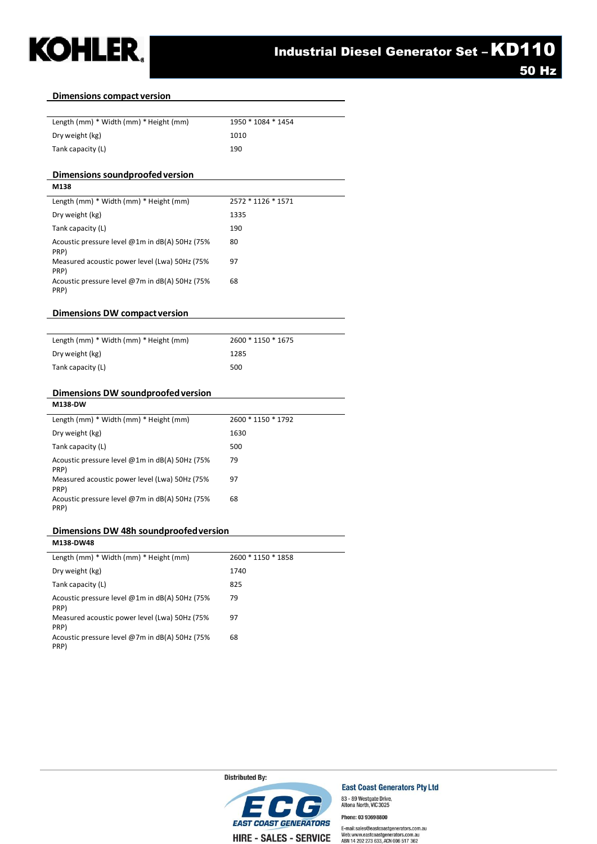

PRP)

PRP)

Acoustic pressure level @7m in dB(A) 50Hz (75% 68

### **Dimensions compact version**

| Length (mm) * Width (mm) * Height (mm)                 | 1950 * 1084 * 1454 |
|--------------------------------------------------------|--------------------|
| Dry weight (kg)                                        | 1010               |
| Tank capacity (L)                                      | 190                |
|                                                        |                    |
| Dimensions soundproofed version                        |                    |
| M138                                                   |                    |
| Length (mm) * Width (mm) * Height (mm)                 | 2572 * 1126 * 1571 |
| Dry weight (kg)                                        | 1335               |
| Tank capacity (L)                                      | 190                |
| Acoustic pressure level @1m in dB(A) 50Hz (75%<br>PRP) | 80                 |
| Measured acoustic power level (Lwa) 50Hz (75%<br>PRP)  | 97                 |
| Acoustic pressure level @7m in dB(A) 50Hz (75%<br>PRP) | 68                 |
|                                                        |                    |
| Dimensions DW compact version                          |                    |
| Length (mm) * Width (mm) * Height (mm)                 | 2600 * 1150 * 1675 |
| Dry weight (kg)                                        | 1285               |
| Tank capacity (L)                                      | 500                |
|                                                        |                    |
| Dimensions DW soundproofed version                     |                    |
| M138-DW                                                |                    |
| Length (mm) * Width (mm) * Height (mm)                 | 2600 * 1150 * 1792 |
| Dry weight (kg)                                        | 1630               |
| Tank capacity (L)                                      | 500                |
| Acoustic pressure level @1m in dB(A) 50Hz (75%<br>PRP) | 79                 |
| Measured acoustic power level (Lwa) 50Hz (75%<br>PRP)  | 97                 |
| Acoustic pressure level @7m in dB(A) 50Hz (75%<br>PRP) | 68                 |
|                                                        |                    |
| Dimensions DW 48h soundproofed version                 |                    |
| M138-DW48                                              |                    |
| Length (mm) * Width (mm) * Height (mm)                 | 2600 * 1150 * 1858 |
| Dry weight (kg)                                        | 1740               |
| Tank capacity (L)                                      | 825                |
| Acoustic pressure level @1m in dB(A) 50Hz (75%<br>PRP) | 79                 |
| Measured acoustic power level (Lwa) 50Hz (75%          | 97                 |

**Distributed By:** 



**East Coast Generators Pty Ltd** 83 - 89 Westgate Drive,<br>Altona North, VIC 3025

Phone: 03 93698800

E-mail:sales@eastcoastgenerators.com.au Web:www.eastcoastgenerators.com.au<br>ABN 14 202 273 633, ACN 006 517 362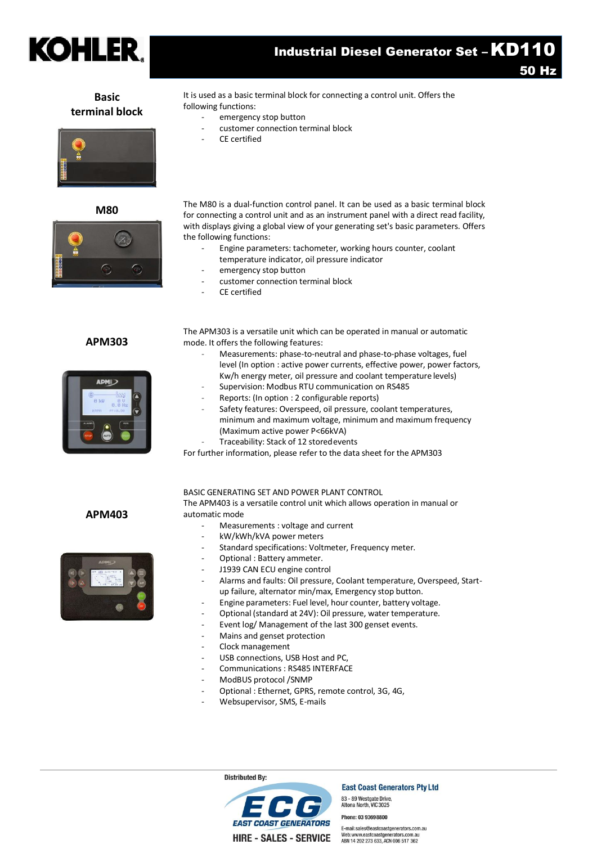

Industrial Diesel Generator Set – KD110

50 Hz

### **Basic terminal block**



**M80**



### **APM303**



It is used as a basic terminal block for connecting a control unit. Offers the following functions:

- emergency stop button
- customer connection terminal block
- CE certified

The M80 is a dual-function control panel. It can be used as a basic terminal block for connecting a control unit and as an instrument panel with a direct read facility, with displays giving a global view of your generating set's basic parameters. Offers the following functions:

- Engine parameters: tachometer, working hours counter, coolant temperature indicator, oil pressure indicator
- emergency stop button
- customer connection terminal block
- CE certified

The APM303 is a versatile unit which can be operated in manual or automatic mode. It offers the following features:

- Measurements: phase-to-neutral and phase-to-phase voltages, fuel level (In option : active power currents, effective power, power factors, Kw/h energy meter, oil pressure and coolant temperature levels)
- Supervision: Modbus RTU communication on RS485
- Reports: (In option : 2 configurable reports)
- Safety features: Overspeed, oil pressure, coolant temperatures, minimum and maximum voltage, minimum and maximum frequency (Maximum active power P<66kVA)
- Traceability: Stack of 12 storedevents

For further information, please refer to the data sheet for the APM303

### BASIC GENERATING SET AND POWER PLANT CONTROL

The APM403 is a versatile control unit which allows operation in manual or automatic mode

- Measurements : voltage and current
- kW/kWh/kVA power meters
- Standard specifications: Voltmeter, Frequency meter.
- Optional : Battery ammeter.
- J1939 CAN ECU engine control
- Alarms and faults: Oil pressure, Coolant temperature, Overspeed, Startup failure, alternator min/max, Emergency stop button.
- Engine parameters: Fuel level, hour counter, battery voltage.
- Optional (standard at 24V): Oil pressure, water temperature.
- Event log/ Management of the last 300 genset events.
- Mains and genset protection
- Clock management
- USB connections, USB Host and PC,
- Communications : RS485 INTERFACE
- ModBUS protocol /SNMP
- Optional : Ethernet, GPRS, remote control, 3G, 4G,
- Websupervisor, SMS, E-mails

**Distributed By:** 

**FAST COAST GENEDATORS HIRE - SALES - SERVICE** 

**East Coast Generators Pty Ltd** 83 - 89 Westgate Drive,<br>Altona North, VIC 3025

Phone: 03 93698800

E-mail:sales@eastcoastgenerators.com.au Web: www.eastcoastgenerators.com.au ABN 14 202 273 633, ACN 006 517 362

**APM403**

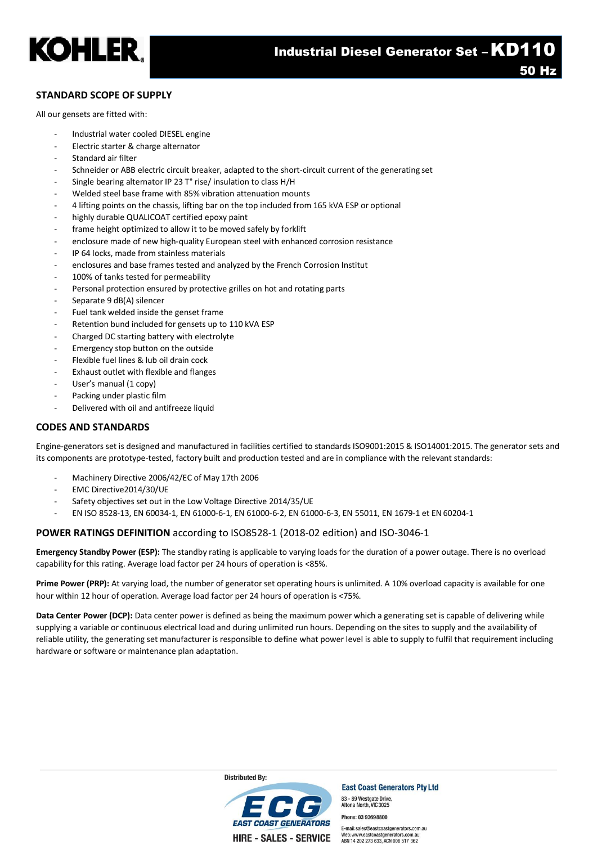

### **STANDARD SCOPE OF SUPPLY**

All our gensets are fitted with:

- Industrial water cooled DIESEL engine
- Electric starter & charge alternator
- Standard air filter
- Schneider or ABB electric circuit breaker, adapted to the short-circuit current of the generating set
- Single bearing alternator IP 23 T° rise/ insulation to class H/H
- Welded steel base frame with 85% vibration attenuation mounts
- 4 lifting points on the chassis, lifting bar on the top included from 165 kVA ESP or optional
- highly durable QUALICOAT certified epoxy paint
- frame height optimized to allow it to be moved safely by forklift
- enclosure made of new high-quality European steel with enhanced corrosion resistance
- IP 64 locks, made from stainless materials
- enclosures and base frames tested and analyzed by the French Corrosion Institut
- 100% of tanks tested for permeability
- Personal protection ensured by protective grilles on hot and rotating parts
- Separate 9 dB(A) silencer
- Fuel tank welded inside the genset frame
- Retention bund included for gensets up to 110 kVA ESP
- Charged DC starting battery with electrolyte
- Emergency stop button on the outside
- Flexible fuel lines & lub oil drain cock
- Exhaust outlet with flexible and flanges
- User's manual (1 copy)
- Packing under plastic film
- Delivered with oil and antifreeze liquid

### **CODES AND STANDARDS**

Engine-generators set is designed and manufactured in facilities certified to standards ISO9001:2015 & ISO14001:2015. The generator sets and its components are prototype-tested, factory built and production tested and are in compliance with the relevant standards:

- Machinery Directive 2006/42/EC of May 17th 2006
- EMC Directive2014/30/UE
- Safety objectives set out in the Low Voltage Directive 2014/35/UE
- EN ISO 8528-13, EN 60034-1, EN 61000-6-1, EN 61000-6-2, EN 61000-6-3, EN 55011, EN 1679-1 et EN60204-1

### **POWER RATINGS DEFINITION** according to ISO8528-1 (2018-02 edition) and ISO-3046-1

**Emergency Standby Power (ESP):** The standby rating is applicable to varying loads for the duration of a power outage. There is no overload capability for this rating. Average load factor per 24 hours of operation is <85%.

**Prime Power (PRP):** At varying load, the number of generator set operating hours is unlimited. A 10% overload capacity is available for one hour within 12 hour of operation. Average load factor per 24 hours of operation is <75%.

**Data Center Power (DCP):** Data center power is defined as being the maximum power which a generating set is capable of delivering while supplying a variable or continuous electrical load and during unlimited run hours. Depending on the sites to supply and the availability of reliable utility, the generating set manufacturer is responsible to define what power level is able to supply to fulfil that requirement including hardware or software or maintenance plan adaptation.



**East Coast Generators Pty Ltd** 83 - 89 Westgate Drive<br>Altona North, VIC 3025

Phone: 03 9369 8800

E-mail:sales@eastcoastgenerators.com.au Web: www.eastcoastgenerators.com.a ABN 14 202 273 633. ACN 006 517 362